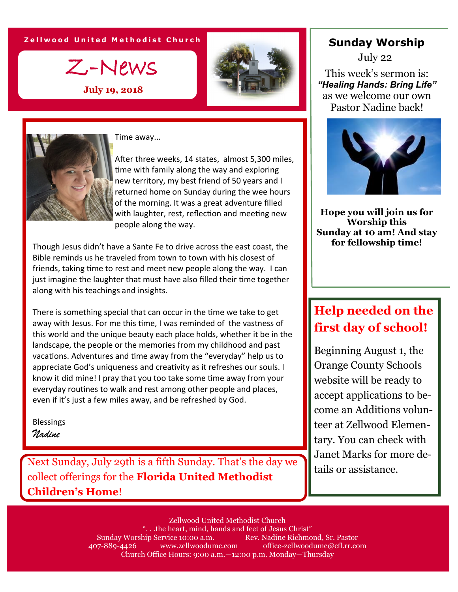#### **Z e l l w o o d U n i t e d M e t h o d i s t C h u r c h**

Z-News

**July 19, 2018**





Time away...

After three weeks, 14 states, almost 5,300 miles, time with family along the way and exploring new territory, my best friend of 50 years and I returned home on Sunday during the wee hours of the morning. It was a great adventure filled with laughter, rest, reflection and meeting new people along the way.

Though Jesus didn't have a Sante Fe to drive across the east coast, the Bible reminds us he traveled from town to town with his closest of friends, taking time to rest and meet new people along the way. I can just imagine the laughter that must have also filled their time together along with his teachings and insights.

There is something special that can occur in the time we take to get away with Jesus. For me this time, I was reminded of the vastness of this world and the unique beauty each place holds, whether it be in the landscape, the people or the memories from my childhood and past vacations. Adventures and time away from the "everyday" help us to appreciate God's uniqueness and creativity as it refreshes our souls. I know it did mine! I pray that you too take some time away from your everyday routines to walk and rest among other people and places, even if it's just a few miles away, and be refreshed by God.

Blessings *Nadine*

Next Sunday, July 29th is a fifth Sunday. That's the day we  $\left\| \begin{array}{c} \text{water marks for m} \\ \text{tails or assistance.} \end{array} \right\|$ collect offerings for the **Florida United Methodist Children's Home**!

### **Sunday Worship**

July 22

This week's sermon is: *"Healing Hands: Bring Life"* as we welcome our own Pastor Nadine back!



**Hope you will join us for Worship this Sunday at 10 am! And stay for fellowship time!**

# **Help needed on the first day of school!**

Beginning August 1, the Orange County Schools website will be ready to accept applications to become an Additions volunteer at Zellwood Elementary. You can check with Janet Marks for more de-

Zellwood United Methodist Church ". . .the heart, mind, hands and feet of Jesus Christ" Sunday Worship Service 10:00 a.m. Rev. Nadine Richmond, Sr. Pastor 407-889-4426 www.zellwoodumc.com office-zellwoodumc@cfl.rr.com Church Office Hours: 9:00 a.m.—12:00 p.m. Monday—Thursday